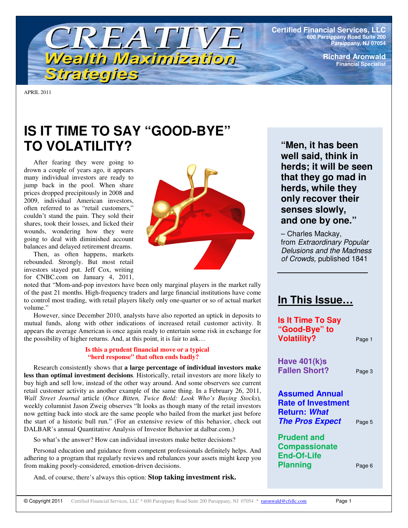

**Certified Financial Services, LLC 600 Parsippany Road Suite 200 Parsippany, NJ 07054**

> **Richard Aronwald Financial Specialist**

APRIL 2011

# **IS IT TIME TO SAY "GOOD-BYE" TO VOLATILITY?**

After fearing they were going to drown a couple of years ago, it appears many individual investors are ready to jump back in the pool. When share prices dropped precipitously in 2008 and 2009, individual American investors, often referred to as "retail customers," couldn't stand the pain. They sold their shares, took their losses, and licked their wounds, wondering how they were going to deal with diminished account balances and delayed retirement dreams.

Then, as often happens, markets rebounded. Strongly. But most retail investors stayed put. Jeff Cox, writing for CNBC.com on January 4, 2011,



noted that "Mom-and-pop investors have been only marginal players in the market rally of the past 21 months. High-frequency traders and large financial institutions have come to control most trading, with retail players likely only one-quarter or so of actual market volume."

However, since December 2010, analysts have also reported an uptick in deposits to mutual funds, along with other indications of increased retail customer activity. It appears the average American is once again ready to entertain some risk in exchange for the possibility of higher returns. And, at this point, it is fair to ask…

## **Is this a prudent financial move or a typical "herd response" that often ends badly?**

Research consistently shows that **a large percentage of individual investors make less than optimal investment decisions**. Historically, retail investors are more likely to buy high and sell low, instead of the other way around. And some observers see current retail customer activity as another example of the same thing. In a February 26, 2011, *Wall Street Journal* article (*Once Bitten, Twice Bold: Look Who's Buying Stocks*)*,* weekly columnist Jason Zweig observes "It looks as though many of the retail investors now getting back into stock are the same people who bailed from the market just before the start of a historic bull run." (For an extensive review of this behavior, check out DALBAR's annual Quantitative Analysis of Investor Behavior at dalbar.com.)

So what's the answer? How can individual investors make better decisions?

Personal education and guidance from competent professionals definitely helps. And adhering to a program that regularly reviews and rebalances your assets might keep you from making poorly-considered, emotion-driven decisions.

And, of course, there's always this option: **Stop taking investment risk.**

**"Men, it has been well said, think in herds; it will be seen that they go mad in herds, while they only recover their senses slowly, and one by one."**

– Charles Mackay, from *Extraordinary Popular Delusions and the Madness of Crowds,* published 1841

## **In This Issue…**

**Is It Time To Say "Good-Bye" to Volatility?** Page 1

**Have 401(k)s Fallen Short?** Page 3

**Assumed Annual Rate of Investment Return:** *What The Pros Expect* Page <sup>5</sup>

**Prudent and Compassionate End-Of-Life Planning** Page 6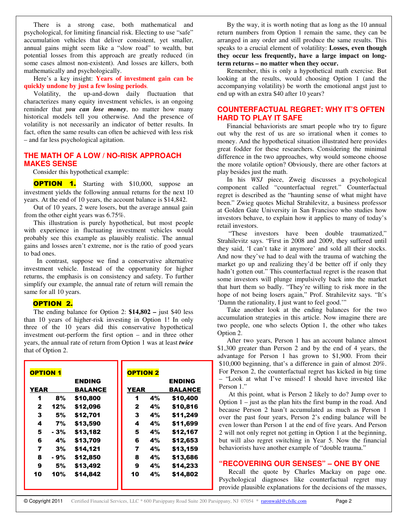There is a strong case, both mathematical and psychological, for limiting financial risk. Electing to use "safe" accumulation vehicles that deliver consistent, yet smaller, annual gains might seem like a "slow road" to wealth, but potential losses from this approach are greatly reduced (in some cases almost non-existent). And losses are killers, both mathematically and psychologically.

Here's a key insight: **Years of investment gain can be quickly undone by just a few losing periods**.

Volatility, the up-and-down daily fluctuation that characterizes many equity investment vehicles, is an ongoing reminder that *you can lose money*, no matter how many historical models tell you otherwise. And the presence of volatility is not necessarily an indicator of better results. In fact, often the same results can often be achieved with less risk – and far less psychological agitation.

## **THE MATH OF A LOW / NO-RISK APPROACH MAKES SENSE**

Consider this hypothetical example:

**OPTION 1.** Starting with \$10,000, suppose an investment yields the following annual returns for the next 10 years. At the end of 10 years, the account balance is \$14,842.

Out of 10 years, 2 were losers, but the average annual gain from the other eight years was 6.75%.

This illustration is purely hypothetical, but most people with experience in fluctuating investment vehicles would probably see this example as plausibly realistic. The annual gains and losses aren't extreme, nor is the ratio of good years to bad ones.

In contrast, suppose we find a conservative alternative investment vehicle. Instead of the opportunity for higher returns, the emphasis is on consistency and safety. To further simplify our example, the annual rate of return will remain the same for all 10 years.

#### OPTION 2.

The ending balance for Option 2: **\$14,802 –** just \$40 less than 10 years of higher-risk investing in Option 1! In only three of the 10 years did this conservative hypothetical investment out-perform the first option – and in three other years, the annual rate of return from Option 1 was at least *twice* that of Option 2.

| <b>OPTION 1</b> |      |                |             | <b>OPTION 2</b> |                |
|-----------------|------|----------------|-------------|-----------------|----------------|
|                 |      | <b>ENDING</b>  |             |                 | <b>ENDING</b>  |
| <b>YEAR</b>     |      | <b>BALANCE</b> | <b>YEAR</b> |                 | <b>BALANCE</b> |
| 1               | 8%   | \$10,800       | 1           | 4%              | \$10,400       |
| 2               | 12%  | \$12,096       | 2           | 4%              | \$10,816       |
| 3               | 5%   | \$12,701       | 3           | 4%              | \$11,249       |
| 4               | 7%   | \$13,590       | 4           | 4%              | \$11,699       |
| 5               | - 3% | \$13,182       | 5           | 4%              | \$12,167       |
| 6               | 4%   | \$13,709       | 6           | 4%              | \$12,653       |
| 7               | 3%   | \$14,121       | 7           | 4%              | \$13,159       |
| 8               | - 9% | \$12,850       | 8           | 4%              | \$13,686       |
| 9               | 5%   | \$13,492       | 9           | 4%              | \$14,233       |
| 10              | 10%  | \$14.842       | 10          | 4%              | \$14,802       |
|                 |      |                |             |                 |                |

By the way, it is worth noting that as long as the 10 annual return numbers from Option 1 remain the same, they can be arranged in any order and still produce the same results. This speaks to a crucial element of volatility: **Losses, even though they occur less frequently, have a large impact on longterm returns – no matter when they occur.**

Remember, this is only a hypothetical math exercise. But looking at the results, would choosing Option 1 (and the accompanying volatility) be worth the emotional angst just to end up with an extra \$40 after 10 years?

## **COUNTERFACTUAL REGRET: WHY IT'S OFTEN HARD TO PLAY IT SAFE**

Financial behaviorists are smart people who try to figure out why the rest of us are so irrational when it comes to money. And the hypothetical situation illustrated here provides great fodder for these researchers. Considering the minimal difference in the two approaches, why would someone choose the more volatile option? Obviously, there are other factors at play besides just the math.

In his *WSJ* piece, Zweig discusses a psychological component called "counterfactual regret." Counterfactual regret is described as the "haunting sense of what might have been." Zwieg quotes Michal Strahilevitz, a business professor at Golden Gate University in San Francisco who studies how investors behave, to explain how it applies to many of today's retail investors.

"These investors have been double traumatized," Strahilevitz says. "First in 2008 and 2009, they suffered until they said, 'I can't take it anymore' and sold all their stocks. And now they've had to deal with the trauma of watching the market go up and realizing they'd be better off if only they hadn't gotten out." This counterfactual regret is the reason that some investors will plunge impulsively back into the market that hurt them so badly. "They're willing to risk more in the hope of not being losers again," Prof. Strahilevitz says. "It's 'Damn the rationality, I just want to feel good.'"

Take another look at the ending balances for the two accumulation strategies in this article. Now imagine there are two people, one who selects Option 1, the other who takes Option 2.

After two years, Person 1 has an account balance almost \$1,300 greater than Person 2 and by the end of 4 years, the advantage for Person 1 has grown to \$1,900. From their \$10,000 beginning, that's a difference in gain of almost 20%. For Person 2, the counterfactual regret has kicked in big time – "Look at what I've missed! I should have invested like Person 1."

At this point, what is Person 2 likely to do? Jump over to Option  $1 -$  just as the plan hits the first bump in the road. And because Person 2 hasn't accumulated as much as Person 1 over the past four years, Person 2's ending balance will be even lower than Person 1 at the end of five years. And Person 2 will not only regret not getting in Option 1 at the beginning, but will also regret switching in Year 5. Now the financial behaviorists have another example of "double trauma."

## **"RECOVERING OUR SENSES" – ONE BY ONE**

Recall the quote by Charles Mackay on page one. Psychological diagnoses like counterfactual regret may provide plausible explanations for the decisions of the masses,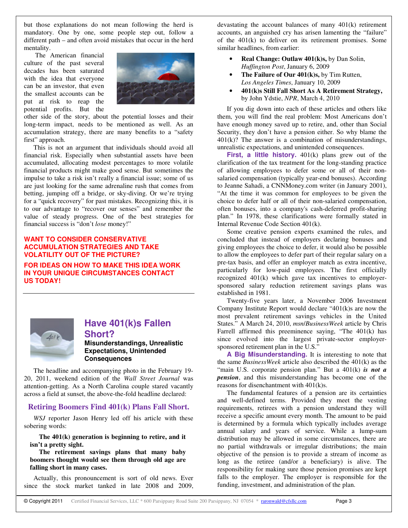but those explanations do not mean following the herd is mandatory. One by one, some people step out, follow a different path – and often avoid mistakes that occur in the herd mentality.

The American financial culture of the past several decades has been saturated with the idea that everyone can be an investor, that even the smallest accounts can be put at risk to reap the potential profits. But the



other side of the story, about the potential losses and their long-term impact, needs to be mentioned as well. As an accumulation strategy, there are many benefits to a "safety first" approach.

This is not an argument that individuals should avoid all financial risk. Especially when substantial assets have been accumulated, allocating modest percentages to more volatile financial products might make good sense. But sometimes the impulse to take a risk isn't really a financial issue; some of us are just looking for the same adrenaline rush that comes from betting, jumping off a bridge, or sky-diving. Or we're trying for a "quick recovery" for past mistakes. Recognizing this, it is to our advantage to "recover our senses" and remember the value of steady progress. One of the best strategies for financial success is "don't *lose* money!"

## **WANT TO CONSIDER CONSERVATIVE ACCUMULATION STRATEGIES AND TAKE VOLATILITY OUT OF THE PICTURE?**

**FOR IDEAS ON HOW TO MAKE THIS IDEA WORK IN YOUR UNIQUE CIRCUMSTANCES CONTACT US TODAY!**



## **Have 401(k)s Fallen Short?**

**Misunderstandings, Unrealistic Expectations, Unintended Consequences**

The headline and accompanying photo in the February 19- 20, 2011, weekend edition of the *Wall Street Journal* was attention-getting. As a North Carolina couple stared vacantly across a field at sunset, the above-the-fold headline declared:

## **Retiring Boomers Find 401(k) Plans Fall Short.**

*WSJ* reporter Jason Henry led off his article with these sobering words:

**The 401(k) generation is beginning to retire, and it isn't a pretty sight.**

**The retirement savings plans that many baby boomers thought would see them through old age are falling short in many cases.**

Actually, this pronouncement is sort of old news. Ever since the stock market tanked in late 2008 and 2009, devastating the account balances of many 401(k) retirement accounts, an anguished cry has arisen lamenting the "failure" of the 401(k) to deliver on its retirement promises. Some similar headlines, from earlier:

- **Real Change: Outlaw 401(k)s,** by Dan Solin, *Huffington Post*, January 6, 2009
- **The Failure of Our 401(k)s,** by Tim Rutten, *Los Angeles Times*, January 10, 2009
- **401(k)s Still Fall Short As A Retirement Strategy,** by John Ydstie, *NPR*, March 4, 2010

If you dig down into each of these articles and others like them, you will find the real problem: Most Americans don't have enough money saved up to retire, and, other than Social Security, they don't have a pension either. So why blame the  $401(k)$ ? The answer is a combination of misunderstandings, unrealistic expectations, and unintended consequences.

**First, a little history.** 401(k) plans grew out of the clarification of the tax treatment for the long-standing practice of allowing employees to defer some or all of their nonsalaried compensation (typically year-end bonuses). According to Jeanne Sahadi, a CNNMoney.com writer (in January 2001), "At the time it was common for employees to be given the choice to defer half or all of their non-salaried compensation, often bonuses, into a company's cash-deferred profit-sharing plan." In 1978, these clarifications were formally stated in Internal Revenue Code Section 401(k).

Some creative pension experts examined the rules, and concluded that instead of employers declaring bonuses and giving employees the choice to defer, it would also be possible to allow the employees to defer part of their regular salary on a pre-tax basis, and offer an employer match as extra incentive, particularly for low-paid employees. The first officially recognized 401(k) which gave tax incentives to employersponsored salary reduction retirement savings plans was established in 1981.

Twenty-five years later, a November 2006 Investment Company Institute Report would declare "401(k)s are now the most prevalent retirement savings vehicles in the United States." A March 24, 2010, *msn*/*BusinessWeek* article by Chris Farrell affirmed this preeminence saying, "The 401(k) has since evolved into the largest private-sector employersponsored retirement plan in the U.S."

**A Big Misunderstanding.** It is interesting to note that the same *BusinessWeek* article also described the 401(k) as the "main U.S. corporate pension plan." But a 401(k) *is not a pension*, and this misunderstanding has become one of the reasons for disenchantment with 401(k)s.

The fundamental features of a pension are its certainties and well-defined terms. Provided they meet the vesting requirements, retirees with a pension understand they will receive a specific amount every month. The amount to be paid is determined by a formula which typically includes average annual salary and years of service. While a lump-sum distribution may be allowed in some circumstances, there are no partial withdrawals or irregular distributions; the main objective of the pension is to provide a stream of income as long as the retiree (and/or a beneficiary) is alive. The responsibility for making sure those pension promises are kept falls to the employer. The employer is responsible for the funding, investment, and administration of the plan.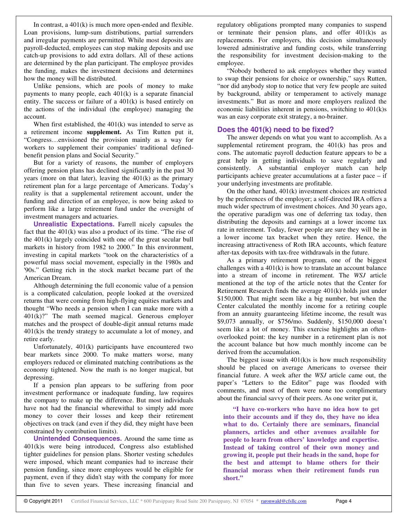In contrast, a 401(k) is much more open-ended and flexible. Loan provisions, lump-sum distributions, partial surrenders and irregular payments are permitted. While most deposits are payroll-deducted, employees can stop making deposits and use catch-up provisions to add extra dollars. All of these actions are determined by the plan participant. The employee provides the funding, makes the investment decisions and determines how the money will be distributed.

Unlike pensions, which are pools of money to make payments to many people, each 401(k) is a separate financial entity. The success or failure of a 401(k) is based entirely on the actions of the individual (the employee) managing the account.

When first established, the  $401(k)$  was intended to serve as a retirement income **supplement.** As Tim Rutten put it, "Congress…envisioned the provision mainly as a way for workers to supplement their companies' traditional definedbenefit pension plans and Social Security."

But for a variety of reasons, the number of employers offering pension plans has declined significantly in the past 30 years (more on that later), leaving the 401(k) as the primary retirement plan for a large percentage of Americans. Today's reality is that a supplemental retirement account, under the funding and direction of an employee, is now being asked to perform like a large retirement fund under the oversight of investment managers and actuaries.

**Unrealistic Expectations.** Farrell nicely capsules the fact that the 401(k) was also a product of its time. "The rise of the 401(k) largely coincided with one of the great secular bull markets in history from 1982 to 2000." In this environment, investing in capital markets "took on the characteristics of a powerful mass social movement, especially in the 1980s and '90s." Getting rich in the stock market became part of the American Dream.

Although determining the full economic value of a pension is a complicated calculation, people looked at the oversized returns that were coming from high-flying equities markets and thought "Who needs a pension when I can make more with a  $401(k)$ ?" The math seemed magical. Generous employer matches and the prospect of double-digit annual returns made 401(k)s the trendy strategy to accumulate a lot of money, and retire early.

Unfortunately, 401(k) participants have encountered two bear markets since 2000. To make matters worse, many employers reduced or eliminated matching contributions as the economy tightened. Now the math is no longer magical, but depressing.

If a pension plan appears to be suffering from poor investment performance or inadequate funding, law requires the company to make up the difference. But most individuals have not had the financial wherewithal to simply add more money to cover their losses and keep their retirement objectives on track (and even if they did, they might have been constrained by contribution limits).

**Unintended Consequences.** Around the same time as 401(k)s were being introduced, Congress also established tighter guidelines for pension plans. Shorter vesting schedules were imposed, which meant companies had to increase their pension funding, since more employees would be eligible for payment, even if they didn't stay with the company for more than five to seven years. These increasing financial and

regulatory obligations prompted many companies to suspend or terminate their pension plans, and offer 401(k)s as replacements. For employers, this decision simultaneously lowered administrative and funding costs, while transferring the responsibility for investment decision-making to the employee.

"Nobody bothered to ask employees whether they wanted to swap their pensions for choice or ownership," says Rutten, "nor did anybody stop to notice that very few people are suited by background, ability or temperament to actively manage investments." But as more and more employers realized the economic liabilities inherent in pensions, switching to 401(k)s was an easy corporate exit strategy, a no-brainer.

## **Does the 401(k) need to be fixed?**

The answer depends on what you want to accomplish. As a supplemental retirement program, the 401(k) has pros and cons. The automatic payroll deduction feature appears to be a great help in getting individuals to save regularly and consistently. A substantial employer match can help participants achieve greater accumulations at a faster pace – if your underlying investments are profitable.

On the other hand, 401(k) investment choices are restricted by the preferences of the employer; a self-directed IRA offers a much wider spectrum of investment choices. And 30 years ago, the operative paradigm was one of deferring tax today, then distributing the deposits and earnings at a lower income tax rate in retirement. Today, fewer people are sure they will be in a lower income tax bracket when they retire. Hence, the increasing attractiveness of Roth IRA accounts, which feature after-tax deposits with tax-free withdrawals in the future.

As a primary retirement program, one of the biggest challenges with a  $401(k)$  is how to translate an account balance into a stream of income in retirement. The *WSJ* article mentioned at the top of the article notes that the Center for Retirement Research finds the average 401(k) holds just under \$150,000. That might seem like a big number, but when the Center calculated the monthly income for a retiring couple from an annuity guaranteeing lifetime income, the result was \$9,073 annually, or \$756/mo. Suddenly, \$150,000 doesn't seem like a lot of money. This exercise highlights an oftenoverlooked point: the key number in a retirement plan is not the account balance but how much monthly income can be derived from the accumulation.

The biggest issue with  $401(k)s$  is how much responsibility should be placed on average Americans to oversee their financial future. A week after the *WSJ* article came out, the paper's "Letters to the Editor" page was flooded with comments, and most of them were none too complimentary about the financial savvy of their peers. As one writer put it,

**"I have co-workers who have no idea how to get into their accounts and if they do, they have no idea what to do. Certainly there are seminars, financial planners, articles and other avenues available for people to learn from others' knowledge and expertise. Instead of taking control of their own money and growing it, people put their heads in the sand, hope for the best and attempt to blame others for their financial morass when their retirement funds run short."**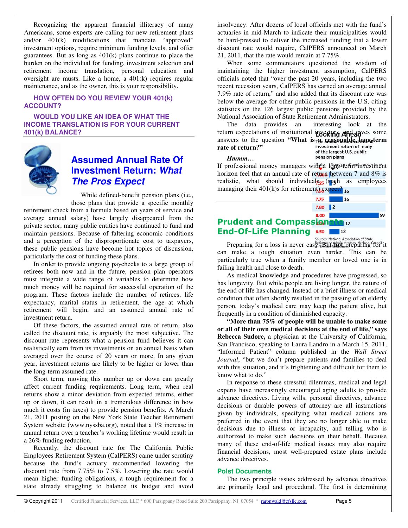Recognizing the apparent financial illiteracy of many Americans, some experts are calling for new retirement plans and/or 401(k) modifications that mandate "approved" investment options, require minimum funding levels, and offer guarantees. But as long as 401(k) plans continue to place the burden on the individual for funding, investment selection and retirement income translation, personal education and oversight are musts. Like a home, a 401(k) requires regular maintenance, and as the owner, this is your responsibility.

## **HOW OFTEN DO YOU REVIEW YOUR 401(k) ACCOUNT?**

**WOULD YOU LIKE AN IDEA OF WHAT THE INCOME TRANSLATION IS FOR YOUR CURRENT 401(k) BALANCE?**



## **Assumed Annual Rate Of Investment Return:** *What The Pros Expect*

While defined-benefit pension plans (i.e., those plans that provide a specific monthly

retirement check from a formula based on years of service and average annual salary) have largely disappeared from the private sector, many public entities have continued to fund and maintain pensions. Because of faltering economic conditions and a perception of the disproportionate cost to taxpayers, these public pensions have become hot topics of discussion, particularly the cost of funding these plans.

In order to provide ongoing paychecks to a large group of retirees both now and in the future, pension plan operators must integrate a wide range of variables to determine how much money will be required for successful operation of the program. These factors include the number of retirees, life expectancy, marital status in retirement, the age at which retirement will begin, and an assumed annual rate of investment return.

Of these factors, the assumed annual rate of return, also called the discount rate, is arguably the most subjective. The discount rate represents what a pension fund believes it can realistically earn from its investments on an annual basis when averaged over the course of 20 years or more. In any given year, investment returns are likely to be higher or lower than the long-term assumed rate.

Short term, moving this number up or down can greatly affect current funding requirements. Long term, when real returns show a minor deviation from expected returns, either up or down, it can result in a tremendous difference in how much it costs (in taxes) to provide pension benefits. A March 21, 2011 posting on the New York State Teacher Retirement System website (www.nyssba.org), noted that a 1% increase in annual return over a teacher's working lifetime would result in a 26% funding reduction.

Recently, the discount rate for The California Public Employees Retirement System (CalPERS) came under scrutiny because the fund's actuary recommended lowering the discount rate from 7.75% to 7.5%. Lowering the rate would mean higher funding obligations, a tough requirement for a state already struggling to balance its budget and avoid

insolvency. After dozens of local officials met with the fund's actuaries in mid-March to indicate their municipalities would be hard-pressed to deliver the increased funding that a lower discount rate would require, CalPERS announced on March 21, 2011, that the rate would remain at 7.75%.

When some commentators questioned the wisdom of maintaining the higher investment assumption, CalPERS officials noted that "over the past 20 years, including the two recent recession years, CalPERS has earned an average annual 7.9% rate of return," and also added that its discount rate was below the average for other public pensions in the U.S, citing statistics on the 126 largest public pensions provided by the National Association of State Retirement Administrators.

The data provides an interesting look at the return expectations of institutional investors, and agives some answers to the question **"What is**  $\pi$  **<b>Re** *k***RabODable** dengtherm rate of return?" investment return of many **rate of return?"** of the largest U.S. public

*Hmmm…*

If professional money managers with a long-term investment horizon feel that an annual rate of return between 7 and  $8\%$  is realistic, what should individual<sub> $\frac{5}{25}$ </sub> (such as employees managing their 401(k)s for retirement)  $\frac{1}{6}$  expect? 16



pension plans

Preparing for a loss is never eas<sup>Retire</sup> But administrators National Crucil it can make a tough situation even harder. This can be particularly true when a family member or loved one is in failing health and close to death.

As medical knowledge and procedures have progressed, so has longevity. But while people are living longer, the nature of the end of life has changed. Instead of a brief illness or medical condition that often shortly resulted in the passing of an elderly person, today's medical care may keep the patient alive, but frequently in a condition of diminished capacity.

**"More than 75% of people will be unable to make some or all of their own medical decisions at the end of life," says Rebecca Sudore,** a physician at the University of California, San Francisco, speaking to Laura Landro in a March 15, 2011, "Informed Patient" column published in the *Wall Street Journal*, "but we don't prepare patients and families to deal with this situation, and it's frightening and difficult for them to know what to do."

In response to these stressful dilemmas, medical and legal experts have increasingly encouraged aging adults to provide advance directives. Living wills, personal directives, advance decisions or durable powers of attorney are all instructions given by individuals, specifying what medical actions are preferred in the event that they are no longer able to make decisions due to illness or incapacity, and telling who is authorized to make such decisions on their behalf. Because many of these end-of-life medical issues may also require financial decisions, most well-prepared estate plans include advance directives.

## **Polst Documents**

The two principle issues addressed by advance directives are primarily legal and procedural. The first is determining